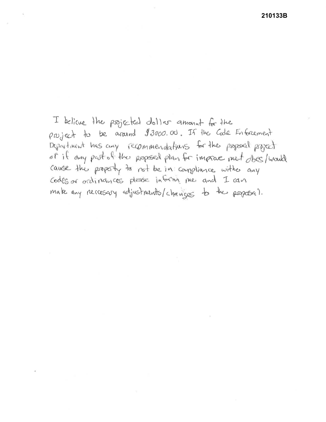210133B

I believe the projected dollar amount for the project to be around \$3000.00. If the Code Enforcement Department has any recommendations for the proposed project of if any past of the proposed plan for imprace met does/would cause the property to not be in compliance with any Codes or ordinances please informi me and I can make any recreasing adjustments/changes to the proposal.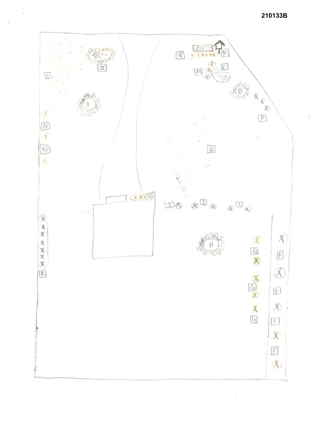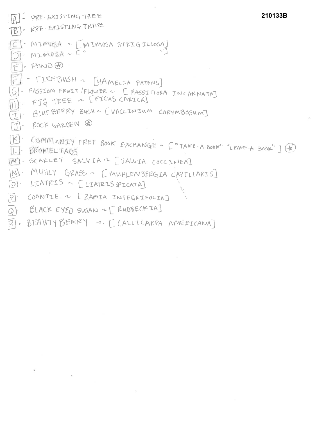```
AI- PRE-EXISTING TREE
                                                          210133B
[B] - RRE-EXISTING TREE
C - MIMOSA - [MIMOSA STRIGILLOSA]
 F. PONDF - FIREBUSH ~ [HAMELIA PATENS]
G) - PASSION FRWIT / FLOWER - [ PASSIFLORA IN CARNATAT
    FIG TREE ~ [FICUS CARICA]
EJ - BLUEBERRY BUSH ~ [VACCINIUM CORYMBOSUM]
 [J]- ROCK GARDEN @
[E]- COMMUNITY FREE BOOK EXCHANGE ~ ["TAKE-A-BOOK" "LEAVE-A-BOOK"] (V)
[M] - SCARLET SALVIA ~ [SALVIA COCCINEA]
[N] - MUHLY GRASS ~ [MUHLENBERGIA CAPILLARIS]
[0] - LIATRIS ~ [LIATRIS SPICATA]
P) COONTIE ~ [ZAMIA INTEGRIFOLIA]
Q). BLACK EYED SUSAN ~ [ RUOBECKIA]
\bar{p} , BEANTY BERRY \sim [CALLICARPA AMERICANA]
```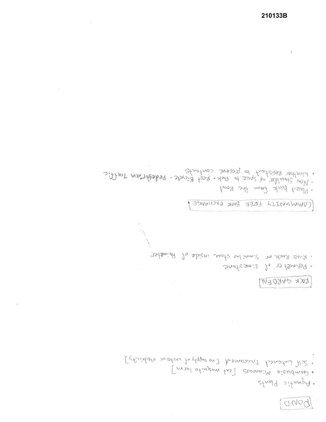anog

· Aquatic Plants

r Gambusia Minnows [eat mosquito larva]

Extintate Contained Enormous Enorgy of water electricity]

## KOCK GARDEN

Sarkson ! 1, 2 tamisor

. River Rock or Simmilar shore inside of Perimeter.

COMMUNITY FREE BOOK EXCHANGE!

· Placed back from the Rock).

. Weather Resistant to presence containsolo - Pedestrain Traffic